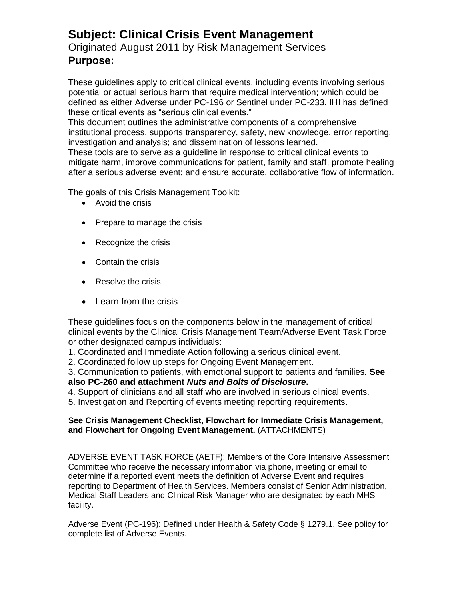## **Subject: Clinical Crisis Event Management**

## Originated August 2011 by Risk Management Services **Purpose:**

These guidelines apply to critical clinical events, including events involving serious potential or actual serious harm that require medical intervention; which could be defined as either Adverse under PC-196 or Sentinel under PC-233. IHI has defined these critical events as "serious clinical events."

This document outlines the administrative components of a comprehensive institutional process, supports transparency, safety, new knowledge, error reporting, investigation and analysis; and dissemination of lessons learned.

These tools are to serve as a guideline in response to critical clinical events to mitigate harm, improve communications for patient, family and staff, promote healing after a serious adverse event; and ensure accurate, collaborative flow of information.

The goals of this Crisis Management Toolkit:

- Avoid the crisis
- Prepare to manage the crisis
- Recognize the crisis
- Contain the crisis
- Resolve the crisis
- Learn from the crisis

These guidelines focus on the components below in the management of critical clinical events by the Clinical Crisis Management Team/Adverse Event Task Force or other designated campus individuals:

1. Coordinated and Immediate Action following a serious clinical event.

2. Coordinated follow up steps for Ongoing Event Management.

3. Communication to patients, with emotional support to patients and families. **See also PC-260 and attachment** *Nuts and Bolts of Disclosure***.**

4. Support of clinicians and all staff who are involved in serious clinical events.

5. Investigation and Reporting of events meeting reporting requirements.

## **See Crisis Management Checklist, Flowchart for Immediate Crisis Management, and Flowchart for Ongoing Event Management.** (ATTACHMENTS)

ADVERSE EVENT TASK FORCE (AETF): Members of the Core Intensive Assessment Committee who receive the necessary information via phone, meeting or email to determine if a reported event meets the definition of Adverse Event and requires reporting to Department of Health Services. Members consist of Senior Administration, Medical Staff Leaders and Clinical Risk Manager who are designated by each MHS facility.

Adverse Event (PC-196): Defined under Health & Safety Code § 1279.1. See policy for complete list of Adverse Events.